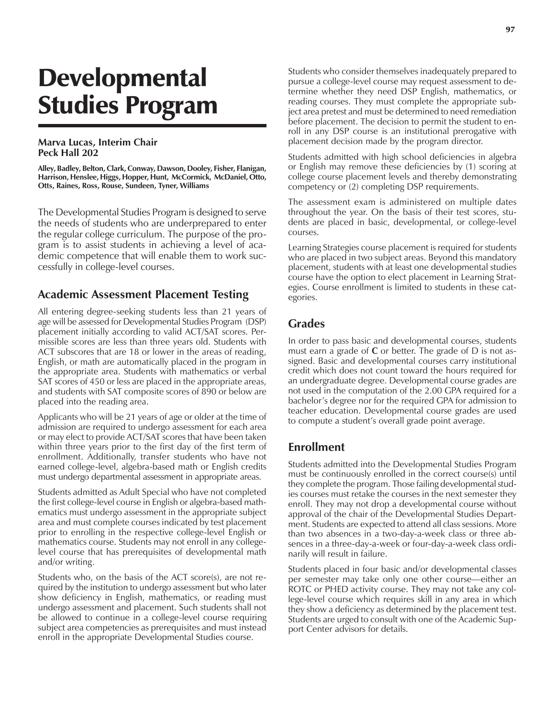# **Developmental** Studies Program

#### **Marva Lucas, Interim Chair Peck Hall 202**

**Alley, Badley, Belton, Clark, Conway, Dawson, Dooley, Fisher, Flanigan, Harrison, Henslee, Higgs, Hopper, Hunt, McCormick, McDaniel, Otto, Otts, Raines, Ross, Rouse, Sundeen, Tyner, Williams**

The Developmental Studies Program is designed to serve the needs of students who are underprepared to enter the regular college curriculum. The purpose of the program is to assist students in achieving a level of academic competence that will enable them to work successfully in college-level courses.

#### **Academic Assessment Placement Testing**

All entering degree-seeking students less than 21 years of age will be assessed for Developmental Studies Program (DSP) placement initially according to valid ACT/SAT scores. Permissible scores are less than three years old. Students with ACT subscores that are 18 or lower in the areas of reading, English, or math are automatically placed in the program in the appropriate area. Students with mathematics or verbal SAT scores of 450 or less are placed in the appropriate areas, and students with SAT composite scores of 890 or below are placed into the reading area.

Applicants who will be 21 years of age or older at the time of admission are required to undergo assessment for each area or may elect to provide ACT/SAT scores that have been taken within three years prior to the first day of the first term of enrollment. Additionally, transfer students who have not earned college-level, algebra-based math or English credits must undergo departmental assessment in appropriate areas.

Students admitted as Adult Special who have not completed the first college-level course in English or algebra-based mathematics must undergo assessment in the appropriate subject area and must complete courses indicated by test placement prior to enrolling in the respective college-level English or mathematics course. Students may not enroll in any collegelevel course that has prerequisites of developmental math and/or writing.

Students who, on the basis of the ACT score(s), are not required by the institution to undergo assessment but who later show deficiency in English, mathematics, or reading must undergo assessment and placement. Such students shall not be allowed to continue in a college-level course requiring subject area competencies as prerequisites and must instead enroll in the appropriate Developmental Studies course.

Students who consider themselves inadequately prepared to pursue a college-level course may request assessment to determine whether they need DSP English, mathematics, or reading courses. They must complete the appropriate subject area pretest and must be determined to need remediation before placement. The decision to permit the student to enroll in any DSP course is an institutional prerogative with placement decision made by the program director.

Students admitted with high school deficiencies in algebra or English may remove these deficiencies by (1) scoring at college course placement levels and thereby demonstrating competency or (2) completing DSP requirements.

The assessment exam is administered on multiple dates throughout the year. On the basis of their test scores, students are placed in basic, developmental, or college-level courses.

Learning Strategies course placement is required for students who are placed in two subject areas. Beyond this mandatory placement, students with at least one developmental studies course have the option to elect placement in Learning Strategies. Course enrollment is limited to students in these categories.

### **Grades**

In order to pass basic and developmental courses, students must earn a grade of **C** or better. The grade of D is not assigned. Basic and developmental courses carry institutional credit which does not count toward the hours required for an undergraduate degree. Developmental course grades are not used in the computation of the 2.00 GPA required for a bachelor's degree nor for the required GPA for admission to teacher education. Developmental course grades are used to compute a student's overall grade point average.

### **Enrollment**

Students admitted into the Developmental Studies Program must be continuously enrolled in the correct course(s) until they complete the program. Those failing developmental studies courses must retake the courses in the next semester they enroll. They may not drop a developmental course without approval of the chair of the Developmental Studies Department. Students are expected to attend all class sessions. More than two absences in a two-day-a-week class or three absences in a three-day-a-week or four-day-a-week class ordinarily will result in failure.

Students placed in four basic and/or developmental classes per semester may take only one other course-either an ROTC or PHED activity course. They may not take any college-level course which requires skill in any area in which they show a deficiency as determined by the placement test. Students are urged to consult with one of the Academic Support Center advisors for details.